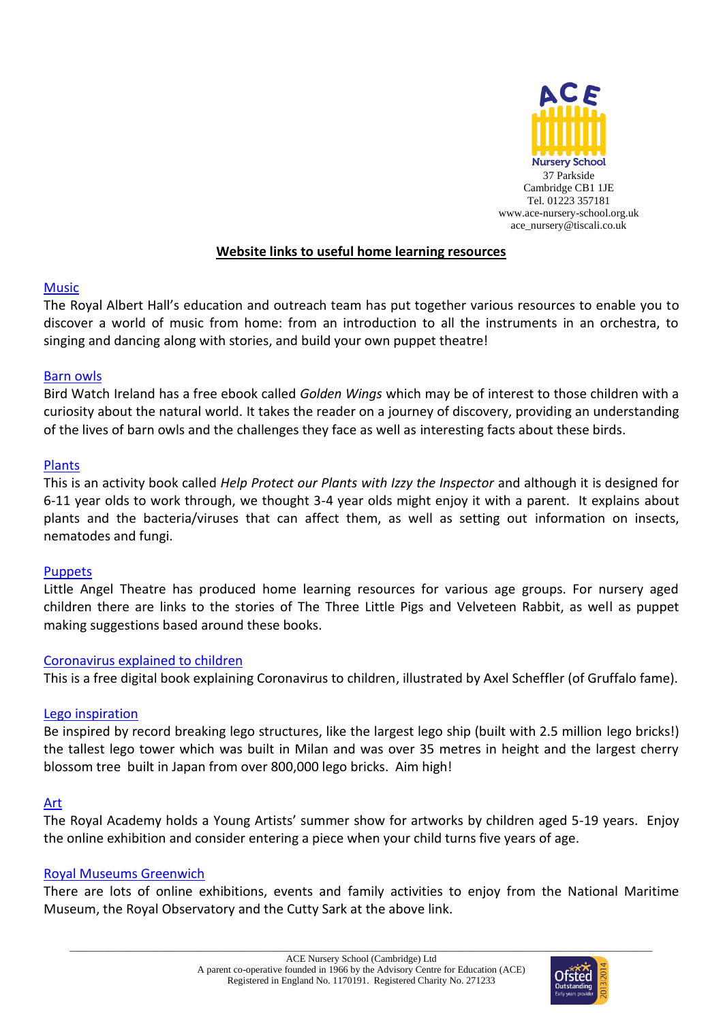

## **Website links to useful home learning resources**

### [Music](https://www.royalalberthall.com/about-the-hall/education/content-for-families-during-lockdown/?fbclid=IwAR3Sd3Zplcdz2domdu1iuGN1WJlfXl5TK1iRS2BGmtImU45Hh97txxuTt3s)

The Royal Albert Hall's education and outreach team has put together various resources to enable you to discover a world of music from home: from an introduction to all the instruments in an orchestra, to singing and dancing along with stories, and build your own puppet theatre!

### [Barn owls](https://birdwatchireland.ie/golden-wings/?fbclid=IwAR35pZudqWzpiyk8NTXD-q5LFMJ8vEsmDYZp19No6AXlY503IKC3HH0lu4U)

Bird Watch Ireland has a free ebook called *Golden Wings* which may be of interest to those children with a curiosity about the natural world. It takes the reader on a journey of discovery, providing an understanding of the lives of barn owls and the challenges they face as well as interesting facts about these birds.

### [Plants](https://www.yearofplanthealth.co.uk/sites/default/files/IzzytheInspectorFinal.pdf?fbclid=IwAR3C76uMGJV2IPBN8Y47PmYKpHBhol2ZAuex0Rd4ZfR5HqYoaNdscCU99Gc)

This is an activity book called *Help Protect our Plants with Izzy the Inspector* and although it is designed for 6-11 year olds to work through, we thought 3-4 year olds might enjoy it with a parent. It explains about plants and the bacteria/viruses that can affect them, as well as setting out information on insects, nematodes and fungi.

### **[Puppets](https://littleangeltheatre.com/schools-and-community/schools-and-teachers/home-learning-packs/?fbclid=IwAR1amDFoctFRAgszesJtmAGo4Lm2epcQZUEZSpzb7Th3PHV_Jp0-GzpT_EE)**

Little Angel Theatre has produced home learning resources for various age groups. For nursery aged children there are links to the stories of The Three Little Pigs and Velveteen Rabbit, as well as puppet making suggestions based around these books.

### [Coronavirus explained to children](https://nosycrow.com/blog/released-today-free-information-book-explaining-coronavirus-children-illustrated-gruffalo-illustrator-axel-scheffler/?fbclid=IwAR2i8M3aWiRw4P3hVmfjII7fOoFKPYJy8fa02IDjlTBdkExrLlwU9DERlTg)

This is a free digital book explaining Coronavirus to children, illustrated by Axel Scheffler (of Gruffalo fame).

### [Lego inspiration](https://www.guinnessworldrecords.com/news/2020/1/celebrate-international-lego-day-with-these-record-breaking-structures-607308?fbclid=IwAR39pH3t-Xl1JNVSnePinyq7C6Zzr2u6_Shy3pGWFoolN2x0qyE45sRfGoU)

Be inspired by record breaking lego structures, like the largest lego ship (built with 2.5 million lego bricks!) the tallest lego tower which was built in Milan and was over 35 metres in height and the largest cherry blossom tree built in Japan from over 800,000 lego bricks. Aim high!

### [Art](https://youngartists.royalacademy.org.uk/)

The Royal Academy holds a Young Artists' summer show for artworks by children aged 5-19 years. Enjoy the online exhibition and consider entering a piece when your child turns five years of age.

### [Royal Museums Greenwich](https://www.rmg.co.uk/see-do/exhibitions-events)

There are lots of online exhibitions, events and family activities to enjoy from the National Maritime Museum, the Royal Observatory and the Cutty Sark at the above link.